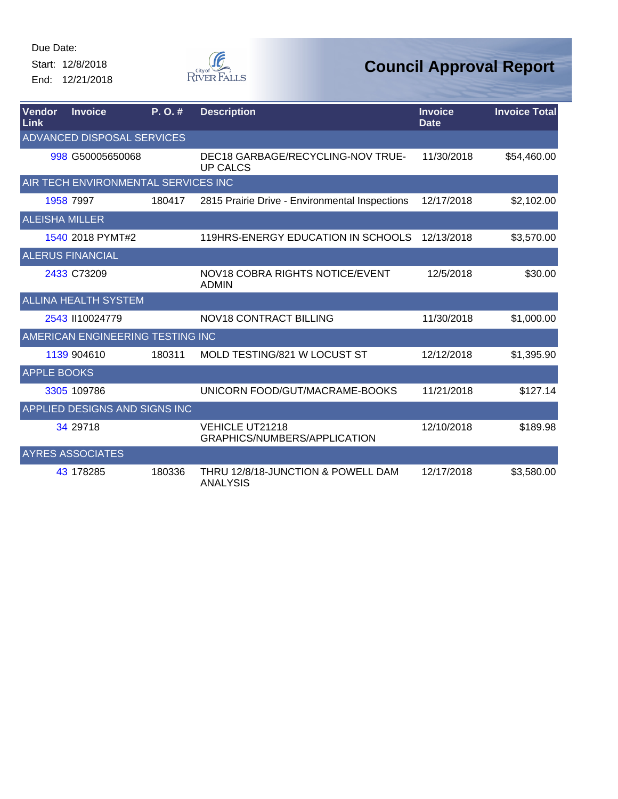Start: 12/8/2018 End: 12/21/2018



| Vendor<br>Link        | <b>Invoice</b>                      | P.O.#  | <b>Description</b>                                     | <b>Invoice</b><br><b>Date</b> | <b>Invoice Total</b> |
|-----------------------|-------------------------------------|--------|--------------------------------------------------------|-------------------------------|----------------------|
|                       | <b>ADVANCED DISPOSAL SERVICES</b>   |        |                                                        |                               |                      |
|                       | 998 G50005650068                    |        | DEC18 GARBAGE/RECYCLING-NOV TRUE-<br><b>UP CALCS</b>   | 11/30/2018                    | \$54,460.00          |
|                       | AIR TECH ENVIRONMENTAL SERVICES INC |        |                                                        |                               |                      |
|                       | 1958 7997                           | 180417 | 2815 Prairie Drive - Environmental Inspections         | 12/17/2018                    | \$2,102.00           |
| <b>ALEISHA MILLER</b> |                                     |        |                                                        |                               |                      |
|                       | 1540 2018 PYMT#2                    |        | 119HRS-ENERGY EDUCATION IN SCHOOLS                     | 12/13/2018                    | \$3,570.00           |
|                       | <b>ALERUS FINANCIAL</b>             |        |                                                        |                               |                      |
|                       | 2433 C73209                         |        | NOV18 COBRA RIGHTS NOTICE/EVENT<br><b>ADMIN</b>        | 12/5/2018                     | \$30.00              |
|                       | <b>ALLINA HEALTH SYSTEM</b>         |        |                                                        |                               |                      |
|                       | 2543 II10024779                     |        | <b>NOV18 CONTRACT BILLING</b>                          | 11/30/2018                    | \$1,000.00           |
|                       | AMERICAN ENGINEERING TESTING INC    |        |                                                        |                               |                      |
|                       | 1139 904610                         | 180311 | MOLD TESTING/821 W LOCUST ST                           | 12/12/2018                    | \$1,395.90           |
| <b>APPLE BOOKS</b>    |                                     |        |                                                        |                               |                      |
|                       | 3305 109786                         |        | UNICORN FOOD/GUT/MACRAME-BOOKS                         | 11/21/2018                    | \$127.14             |
|                       | APPLIED DESIGNS AND SIGNS INC       |        |                                                        |                               |                      |
|                       | 34 29718                            |        | <b>VEHICLE UT21218</b><br>GRAPHICS/NUMBERS/APPLICATION | 12/10/2018                    | \$189.98             |
|                       | <b>AYRES ASSOCIATES</b>             |        |                                                        |                               |                      |
|                       | 43 178285                           | 180336 | THRU 12/8/18-JUNCTION & POWELL DAM<br><b>ANALYSIS</b>  | 12/17/2018                    | \$3,580.00           |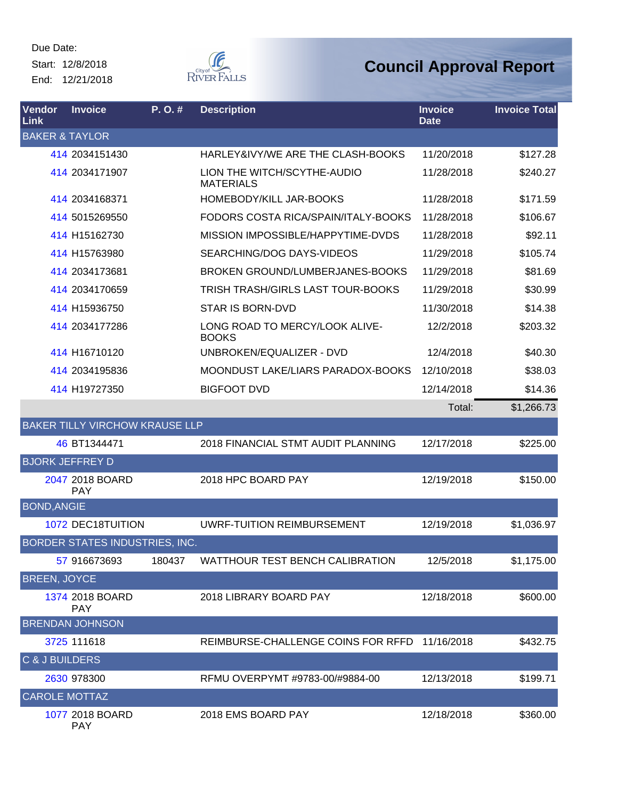Start: 12/8/2018 End: 12/21/2018



| Vendor<br>Link            | <b>Invoice</b>                        | $P. O.$ # | <b>Description</b>                              | <b>Invoice</b><br><b>Date</b> | <b>Invoice Total</b> |
|---------------------------|---------------------------------------|-----------|-------------------------------------------------|-------------------------------|----------------------|
| <b>BAKER &amp; TAYLOR</b> |                                       |           |                                                 |                               |                      |
|                           | 414 2034151430                        |           | HARLEY&IVY/WE ARE THE CLASH-BOOKS               | 11/20/2018                    | \$127.28             |
|                           | 414 2034171907                        |           | LION THE WITCH/SCYTHE-AUDIO<br><b>MATERIALS</b> | 11/28/2018                    | \$240.27             |
|                           | 414 2034168371                        |           | HOMEBODY/KILL JAR-BOOKS                         | 11/28/2018                    | \$171.59             |
|                           | 414 5015269550                        |           | FODORS COSTA RICA/SPAIN/ITALY-BOOKS             | 11/28/2018                    | \$106.67             |
|                           | 414 H15162730                         |           | MISSION IMPOSSIBLE/HAPPYTIME-DVDS               | 11/28/2018                    | \$92.11              |
|                           | 414 H15763980                         |           | SEARCHING/DOG DAYS-VIDEOS                       | 11/29/2018                    | \$105.74             |
|                           | 414 2034173681                        |           | BROKEN GROUND/LUMBERJANES-BOOKS                 | 11/29/2018                    | \$81.69              |
|                           | 414 2034170659                        |           | TRISH TRASH/GIRLS LAST TOUR-BOOKS               | 11/29/2018                    | \$30.99              |
|                           | 414 H15936750                         |           | <b>STAR IS BORN-DVD</b>                         | 11/30/2018                    | \$14.38              |
|                           | 414 2034177286                        |           | LONG ROAD TO MERCY/LOOK ALIVE-<br><b>BOOKS</b>  | 12/2/2018                     | \$203.32             |
|                           | 414 H16710120                         |           | UNBROKEN/EQUALIZER - DVD                        | 12/4/2018                     | \$40.30              |
|                           | 414 2034195836                        |           | MOONDUST LAKE/LIARS PARADOX-BOOKS               | 12/10/2018                    | \$38.03              |
|                           | 414 H19727350                         |           | <b>BIGFOOT DVD</b>                              | 12/14/2018                    | \$14.36              |
|                           |                                       |           |                                                 | Total:                        | \$1,266.73           |
|                           | <b>BAKER TILLY VIRCHOW KRAUSE LLP</b> |           |                                                 |                               |                      |
|                           | 46 BT1344471                          |           | 2018 FINANCIAL STMT AUDIT PLANNING              | 12/17/2018                    | \$225.00             |
| <b>BJORK JEFFREY D</b>    |                                       |           |                                                 |                               |                      |
|                           | 2047 2018 BOARD<br><b>PAY</b>         |           | 2018 HPC BOARD PAY                              | 12/19/2018                    | \$150.00             |
| <b>BOND, ANGIE</b>        |                                       |           |                                                 |                               |                      |
|                           | 1072 DEC18TUITION                     |           | <b>UWRF-TUITION REIMBURSEMENT</b>               | 12/19/2018                    | \$1,036.97           |
|                           | BORDER STATES INDUSTRIES, INC.        |           |                                                 |                               |                      |
|                           | 57 916673693                          | 180437    | WATTHOUR TEST BENCH CALIBRATION                 | 12/5/2018                     | \$1,175.00           |
| <b>BREEN, JOYCE</b>       |                                       |           |                                                 |                               |                      |
|                           | 1374 2018 BOARD<br><b>PAY</b>         |           | 2018 LIBRARY BOARD PAY                          | 12/18/2018                    | \$600.00             |
|                           | <b>BRENDAN JOHNSON</b>                |           |                                                 |                               |                      |
|                           | 3725 111618                           |           | REIMBURSE-CHALLENGE COINS FOR RFFD              | 11/16/2018                    | \$432.75             |
| C & J BUILDERS            |                                       |           |                                                 |                               |                      |
|                           | 2630 978300                           |           | RFMU OVERPYMT #9783-00/#9884-00                 | 12/13/2018                    | \$199.71             |
| <b>CAROLE MOTTAZ</b>      |                                       |           |                                                 |                               |                      |
|                           | 1077 2018 BOARD<br><b>PAY</b>         |           | 2018 EMS BOARD PAY                              | 12/18/2018                    | \$360.00             |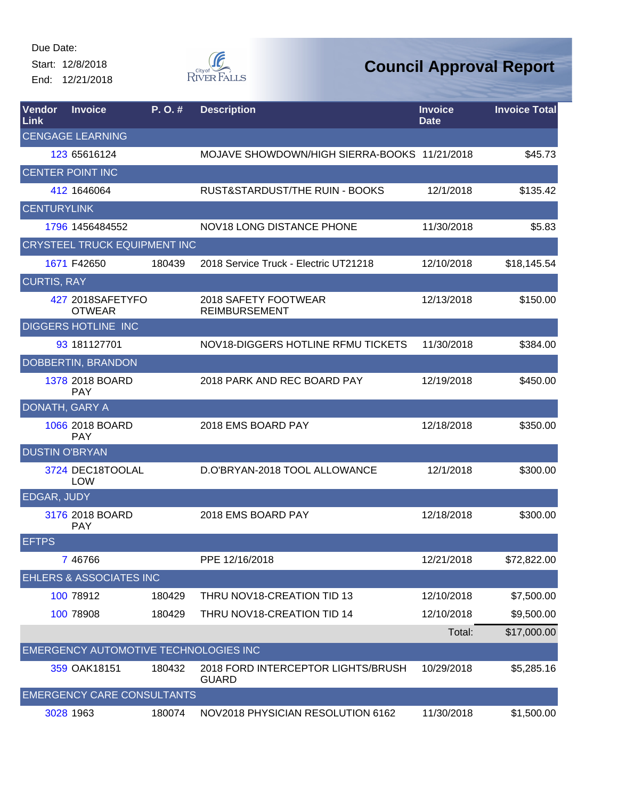Start: 12/8/2018 End: 12/21/2018



| Vendor<br>Link        | <b>Invoice</b>                        | P. O. # | <b>Description</b>                                 | <b>Invoice</b><br><b>Date</b> | <b>Invoice Total</b> |
|-----------------------|---------------------------------------|---------|----------------------------------------------------|-------------------------------|----------------------|
|                       | <b>CENGAGE LEARNING</b>               |         |                                                    |                               |                      |
|                       | 123 65616124                          |         | MOJAVE SHOWDOWN/HIGH SIERRA-BOOKS 11/21/2018       |                               | \$45.73              |
|                       | <b>CENTER POINT INC</b>               |         |                                                    |                               |                      |
|                       | 412 1646064                           |         | RUST&STARDUST/THE RUIN - BOOKS                     | 12/1/2018                     | \$135.42             |
| <b>CENTURYLINK</b>    |                                       |         |                                                    |                               |                      |
|                       | 1796 1456484552                       |         | <b>NOV18 LONG DISTANCE PHONE</b>                   | 11/30/2018                    | \$5.83               |
|                       | <b>CRYSTEEL TRUCK EQUIPMENT INC</b>   |         |                                                    |                               |                      |
|                       | 1671 F42650                           | 180439  | 2018 Service Truck - Electric UT21218              | 12/10/2018                    | \$18,145.54          |
| <b>CURTIS, RAY</b>    |                                       |         |                                                    |                               |                      |
|                       | 427 2018SAFETYFO<br><b>OTWEAR</b>     |         | 2018 SAFETY FOOTWEAR<br><b>REIMBURSEMENT</b>       | 12/13/2018                    | \$150.00             |
|                       | <b>DIGGERS HOTLINE INC</b>            |         |                                                    |                               |                      |
|                       | 93 181127701                          |         | NOV18-DIGGERS HOTLINE RFMU TICKETS                 | 11/30/2018                    | \$384.00             |
|                       | DOBBERTIN, BRANDON                    |         |                                                    |                               |                      |
|                       | 1378 2018 BOARD<br><b>PAY</b>         |         | 2018 PARK AND REC BOARD PAY                        | 12/19/2018                    | \$450.00             |
| DONATH, GARY A        |                                       |         |                                                    |                               |                      |
|                       | 1066 2018 BOARD<br><b>PAY</b>         |         | 2018 EMS BOARD PAY                                 | 12/18/2018                    | \$350.00             |
| <b>DUSTIN O'BRYAN</b> |                                       |         |                                                    |                               |                      |
|                       | 3724 DEC18TOOLAL<br><b>LOW</b>        |         | D.O'BRYAN-2018 TOOL ALLOWANCE                      | 12/1/2018                     | \$300.00             |
| <b>EDGAR, JUDY</b>    |                                       |         |                                                    |                               |                      |
|                       | 3176 2018 BOARD<br><b>PAY</b>         |         | 2018 EMS BOARD PAY                                 | 12/18/2018                    | \$300.00             |
| <b>EFTPS</b>          |                                       |         |                                                    |                               |                      |
|                       | 7 46766                               |         | PPE 12/16/2018                                     | 12/21/2018                    | \$72,822.00          |
|                       | <b>EHLERS &amp; ASSOCIATES INC</b>    |         |                                                    |                               |                      |
|                       | 100 78912                             | 180429  | THRU NOV18-CREATION TID 13                         | 12/10/2018                    | \$7,500.00           |
|                       | 100 78908                             | 180429  | THRU NOV18-CREATION TID 14                         | 12/10/2018                    | \$9,500.00           |
|                       |                                       |         |                                                    | Total:                        | \$17,000.00          |
|                       | EMERGENCY AUTOMOTIVE TECHNOLOGIES INC |         |                                                    |                               |                      |
|                       | 359 OAK18151                          | 180432  | 2018 FORD INTERCEPTOR LIGHTS/BRUSH<br><b>GUARD</b> | 10/29/2018                    | \$5,285.16           |
|                       | <b>EMERGENCY CARE CONSULTANTS</b>     |         |                                                    |                               |                      |
|                       | 3028 1963                             | 180074  | NOV2018 PHYSICIAN RESOLUTION 6162                  | 11/30/2018                    | \$1,500.00           |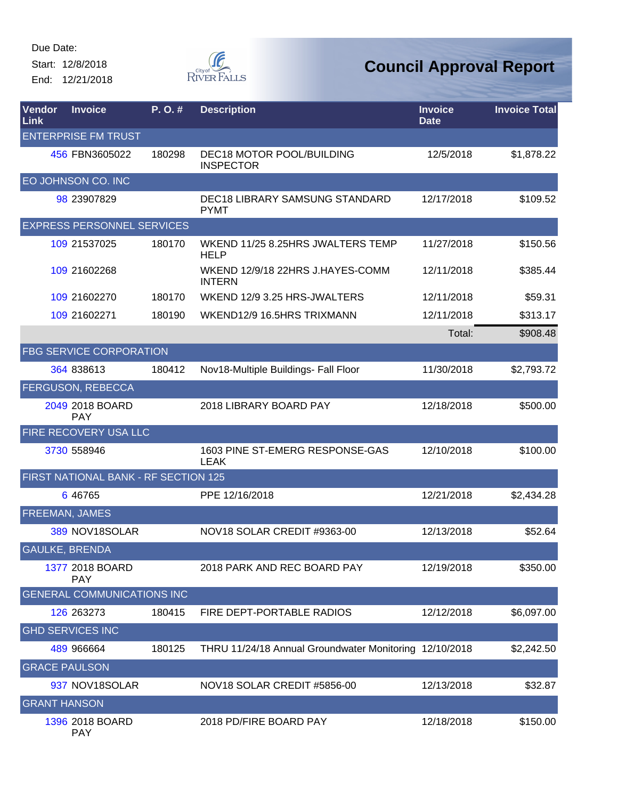Start: 12/8/2018 End: 12/21/2018



| Vendor<br>Link        | <b>Invoice</b>                       | P.O.#  | <b>Description</b>                                     | <b>Invoice</b><br><b>Date</b> | <b>Invoice Total</b> |
|-----------------------|--------------------------------------|--------|--------------------------------------------------------|-------------------------------|----------------------|
|                       | <b>ENTERPRISE FM TRUST</b>           |        |                                                        |                               |                      |
|                       | 456 FBN3605022                       | 180298 | <b>DEC18 MOTOR POOL/BUILDING</b><br><b>INSPECTOR</b>   | 12/5/2018                     | \$1,878.22           |
|                       | EO JOHNSON CO. INC                   |        |                                                        |                               |                      |
|                       | 98 23907829                          |        | <b>DEC18 LIBRARY SAMSUNG STANDARD</b><br><b>PYMT</b>   | 12/17/2018                    | \$109.52             |
|                       | <b>EXPRESS PERSONNEL SERVICES</b>    |        |                                                        |                               |                      |
|                       | 109 21537025                         | 180170 | WKEND 11/25 8.25HRS JWALTERS TEMP<br><b>HELP</b>       | 11/27/2018                    | \$150.56             |
|                       | 109 21602268                         |        | WKEND 12/9/18 22HRS J.HAYES-COMM<br><b>INTERN</b>      | 12/11/2018                    | \$385.44             |
|                       | 109 21602270                         | 180170 | WKEND 12/9 3.25 HRS-JWALTERS                           | 12/11/2018                    | \$59.31              |
|                       | 109 21602271                         | 180190 | WKEND12/9 16.5HRS TRIXMANN                             | 12/11/2018                    | \$313.17             |
|                       |                                      |        |                                                        | Total:                        | \$908.48             |
|                       | <b>FBG SERVICE CORPORATION</b>       |        |                                                        |                               |                      |
|                       | 364 838613                           | 180412 | Nov18-Multiple Buildings- Fall Floor                   | 11/30/2018                    | \$2,793.72           |
|                       | <b>FERGUSON, REBECCA</b>             |        |                                                        |                               |                      |
|                       | 2049 2018 BOARD<br><b>PAY</b>        |        | 2018 LIBRARY BOARD PAY                                 | 12/18/2018                    | \$500.00             |
|                       | FIRE RECOVERY USA LLC                |        |                                                        |                               |                      |
|                       | 3730 558946                          |        | 1603 PINE ST-EMERG RESPONSE-GAS<br><b>LEAK</b>         | 12/10/2018                    | \$100.00             |
|                       | FIRST NATIONAL BANK - RF SECTION 125 |        |                                                        |                               |                      |
|                       | 6 46765                              |        | PPE 12/16/2018                                         | 12/21/2018                    | \$2,434.28           |
| <b>FREEMAN, JAMES</b> |                                      |        |                                                        |                               |                      |
|                       | 389 NOV18SOLAR                       |        | NOV18 SOLAR CREDIT #9363-00                            | 12/13/2018                    | \$52.64              |
| <b>GAULKE, BRENDA</b> |                                      |        |                                                        |                               |                      |
|                       | 1377 2018 BOARD<br><b>PAY</b>        |        | 2018 PARK AND REC BOARD PAY                            | 12/19/2018                    | \$350.00             |
|                       | <b>GENERAL COMMUNICATIONS INC</b>    |        |                                                        |                               |                      |
|                       | 126 263273                           | 180415 | FIRE DEPT-PORTABLE RADIOS                              | 12/12/2018                    | \$6,097.00           |
|                       | <b>GHD SERVICES INC</b>              |        |                                                        |                               |                      |
|                       | 489 966664                           | 180125 | THRU 11/24/18 Annual Groundwater Monitoring 12/10/2018 |                               | \$2,242.50           |
| <b>GRACE PAULSON</b>  |                                      |        |                                                        |                               |                      |
|                       | 937 NOV18SOLAR                       |        | NOV18 SOLAR CREDIT #5856-00                            | 12/13/2018                    | \$32.87              |
| <b>GRANT HANSON</b>   |                                      |        |                                                        |                               |                      |
|                       | 1396 2018 BOARD<br><b>PAY</b>        |        | 2018 PD/FIRE BOARD PAY                                 | 12/18/2018                    | \$150.00             |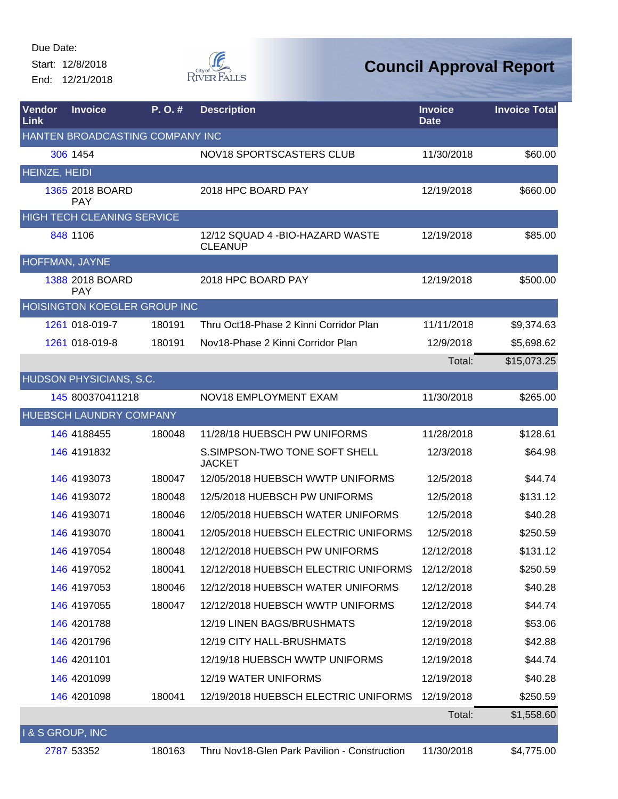Start: 12/8/2018 End: 12/21/2018



| Vendor<br>Link       | <b>Invoice</b>                      | P.O.#  | <b>Description</b>                                 | <b>Invoice</b><br><b>Date</b> | <b>Invoice Total</b> |
|----------------------|-------------------------------------|--------|----------------------------------------------------|-------------------------------|----------------------|
|                      | HANTEN BROADCASTING COMPANY INC     |        |                                                    |                               |                      |
|                      | 306 1454                            |        | NOV18 SPORTSCASTERS CLUB                           | 11/30/2018                    | \$60.00              |
| <b>HEINZE, HEIDI</b> |                                     |        |                                                    |                               |                      |
|                      | 1365 2018 BOARD<br><b>PAY</b>       |        | 2018 HPC BOARD PAY                                 | 12/19/2018                    | \$660.00             |
|                      | <b>HIGH TECH CLEANING SERVICE</b>   |        |                                                    |                               |                      |
|                      | 848 1106                            |        | 12/12 SQUAD 4 - BIO-HAZARD WASTE<br><b>CLEANUP</b> | 12/19/2018                    | \$85.00              |
| HOFFMAN, JAYNE       |                                     |        |                                                    |                               |                      |
|                      | 1388 2018 BOARD<br><b>PAY</b>       |        | 2018 HPC BOARD PAY                                 | 12/19/2018                    | \$500.00             |
|                      | <b>HOISINGTON KOEGLER GROUP INC</b> |        |                                                    |                               |                      |
|                      | 1261 018-019-7                      | 180191 | Thru Oct18-Phase 2 Kinni Corridor Plan             | 11/11/2018                    | \$9,374.63           |
|                      | 1261 018-019-8                      | 180191 | Nov18-Phase 2 Kinni Corridor Plan                  | 12/9/2018                     | \$5,698.62           |
|                      |                                     |        |                                                    | Total:                        | \$15,073.25          |
|                      | HUDSON PHYSICIANS, S.C.             |        |                                                    |                               |                      |
|                      | 145 800370411218                    |        | NOV18 EMPLOYMENT EXAM                              | 11/30/2018                    | \$265.00             |
|                      | <b>HUEBSCH LAUNDRY COMPANY</b>      |        |                                                    |                               |                      |
|                      | 146 4188455                         | 180048 | 11/28/18 HUEBSCH PW UNIFORMS                       | 11/28/2018                    | \$128.61             |
|                      | 146 4191832                         |        | S.SIMPSON-TWO TONE SOFT SHELL<br><b>JACKET</b>     | 12/3/2018                     | \$64.98              |
|                      | 146 4193073                         | 180047 | 12/05/2018 HUEBSCH WWTP UNIFORMS                   | 12/5/2018                     | \$44.74              |
|                      | 146 4193072                         | 180048 | 12/5/2018 HUEBSCH PW UNIFORMS                      | 12/5/2018                     | \$131.12             |
|                      | 146 4193071                         | 180046 | 12/05/2018 HUEBSCH WATER UNIFORMS                  | 12/5/2018                     | \$40.28              |
|                      | 146 4193070                         | 180041 | 12/05/2018 HUEBSCH ELECTRIC UNIFORMS               | 12/5/2018                     | \$250.59             |
|                      | 146 4197054                         | 180048 | 12/12/2018 HUEBSCH PW UNIFORMS                     | 12/12/2018                    | \$131.12             |
|                      | 146 4197052                         | 180041 | 12/12/2018 HUEBSCH ELECTRIC UNIFORMS               | 12/12/2018                    | \$250.59             |
|                      | 146 4197053                         | 180046 | 12/12/2018 HUEBSCH WATER UNIFORMS                  | 12/12/2018                    | \$40.28              |
|                      | 146 4197055                         | 180047 | 12/12/2018 HUEBSCH WWTP UNIFORMS                   | 12/12/2018                    | \$44.74              |
|                      | 146 4201788                         |        | 12/19 LINEN BAGS/BRUSHMATS                         | 12/19/2018                    | \$53.06              |
|                      | 146 4201796                         |        | 12/19 CITY HALL-BRUSHMATS                          | 12/19/2018                    | \$42.88              |
|                      | 146 4201101                         |        | 12/19/18 HUEBSCH WWTP UNIFORMS                     | 12/19/2018                    | \$44.74              |
|                      | 146 4201099                         |        | 12/19 WATER UNIFORMS                               | 12/19/2018                    | \$40.28              |
|                      | 146 4201098                         | 180041 | 12/19/2018 HUEBSCH ELECTRIC UNIFORMS               | 12/19/2018                    | \$250.59             |
|                      |                                     |        |                                                    | Total:                        | \$1,558.60           |
| I & S GROUP, INC     |                                     |        |                                                    |                               |                      |
|                      | 2787 53352                          | 180163 | Thru Nov18-Glen Park Pavilion - Construction       | 11/30/2018                    | \$4,775.00           |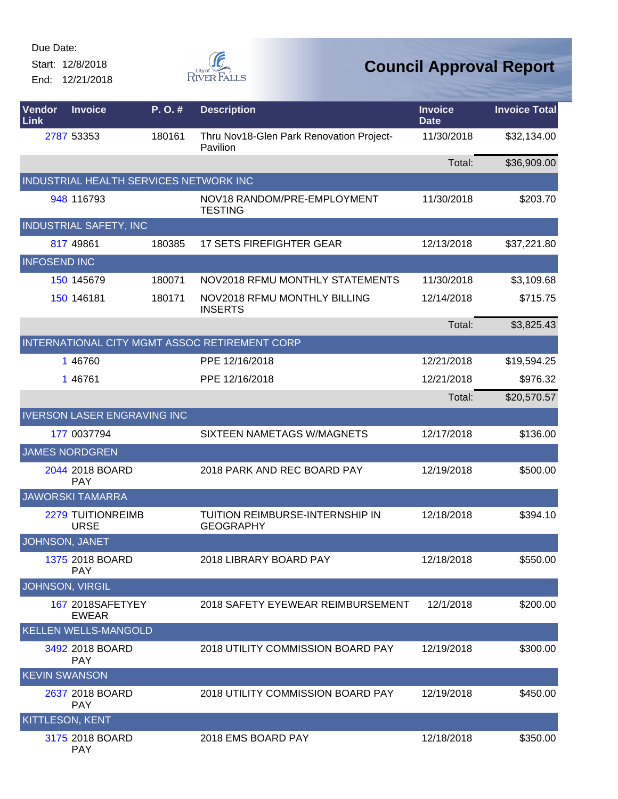Start: 12/8/2018 End: 12/21/2018



| Vendor<br>Link       | <b>Invoice</b>                         | P.O.#  | <b>Description</b>                                   | <b>Invoice</b><br><b>Date</b> | <b>Invoice Total</b> |
|----------------------|----------------------------------------|--------|------------------------------------------------------|-------------------------------|----------------------|
|                      | 2787 53353                             | 180161 | Thru Nov18-Glen Park Renovation Project-<br>Pavilion | 11/30/2018                    | \$32,134.00          |
|                      |                                        |        |                                                      | Total:                        | \$36,909.00          |
|                      | INDUSTRIAL HEALTH SERVICES NETWORK INC |        |                                                      |                               |                      |
|                      | 948 116793                             |        | NOV18 RANDOM/PRE-EMPLOYMENT<br><b>TESTING</b>        | 11/30/2018                    | \$203.70             |
|                      | INDUSTRIAL SAFETY, INC                 |        |                                                      |                               |                      |
|                      | 817 49861                              | 180385 | <b>17 SETS FIREFIGHTER GEAR</b>                      | 12/13/2018                    | \$37,221.80          |
| <b>INFOSEND INC</b>  |                                        |        |                                                      |                               |                      |
|                      | 150 145679                             | 180071 | NOV2018 RFMU MONTHLY STATEMENTS                      | 11/30/2018                    | \$3,109.68           |
|                      | 150 146181                             | 180171 | NOV2018 RFMU MONTHLY BILLING<br><b>INSERTS</b>       | 12/14/2018                    | \$715.75             |
|                      |                                        |        |                                                      | Total:                        | \$3,825.43           |
|                      |                                        |        | INTERNATIONAL CITY MGMT ASSOC RETIREMENT CORP        |                               |                      |
|                      | 1 46760                                |        | PPE 12/16/2018                                       | 12/21/2018                    | \$19,594.25          |
|                      | 1 46761                                |        | PPE 12/16/2018                                       | 12/21/2018                    | \$976.32             |
|                      |                                        |        |                                                      | Total:                        | \$20,570.57          |
|                      | <b>IVERSON LASER ENGRAVING INC</b>     |        |                                                      |                               |                      |
|                      | 177 0037794                            |        | SIXTEEN NAMETAGS W/MAGNETS                           | 12/17/2018                    | \$136.00             |
|                      | <b>JAMES NORDGREN</b>                  |        |                                                      |                               |                      |
|                      | 2044 2018 BOARD<br><b>PAY</b>          |        | 2018 PARK AND REC BOARD PAY                          | 12/19/2018                    | \$500.00             |
|                      | <b>JAWORSKI TAMARRA</b>                |        |                                                      |                               |                      |
|                      | 2279 TUITIONREIMB<br><b>URSE</b>       |        | TUITION REIMBURSE-INTERNSHIP IN<br><b>GEOGRAPHY</b>  | 12/18/2018                    | \$394.10             |
|                      | JOHNSON, JANET                         |        |                                                      |                               |                      |
|                      | 1375 2018 BOARD<br><b>PAY</b>          |        | 2018 LIBRARY BOARD PAY                               | 12/18/2018                    | \$550.00             |
|                      | <b>JOHNSON, VIRGIL</b>                 |        |                                                      |                               |                      |
|                      | 167 2018SAFETYEY<br><b>EWEAR</b>       |        | 2018 SAFETY EYEWEAR REIMBURSEMENT                    | 12/1/2018                     | \$200.00             |
|                      | <b>KELLEN WELLS-MANGOLD</b>            |        |                                                      |                               |                      |
|                      | 3492 2018 BOARD<br><b>PAY</b>          |        | 2018 UTILITY COMMISSION BOARD PAY                    | 12/19/2018                    | \$300.00             |
| <b>KEVIN SWANSON</b> |                                        |        |                                                      |                               |                      |
|                      | 2637 2018 BOARD<br><b>PAY</b>          |        | 2018 UTILITY COMMISSION BOARD PAY                    | 12/19/2018                    | \$450.00             |
|                      | KITTLESON, KENT                        |        |                                                      |                               |                      |
|                      | 3175 2018 BOARD<br><b>PAY</b>          |        | 2018 EMS BOARD PAY                                   | 12/18/2018                    | \$350.00             |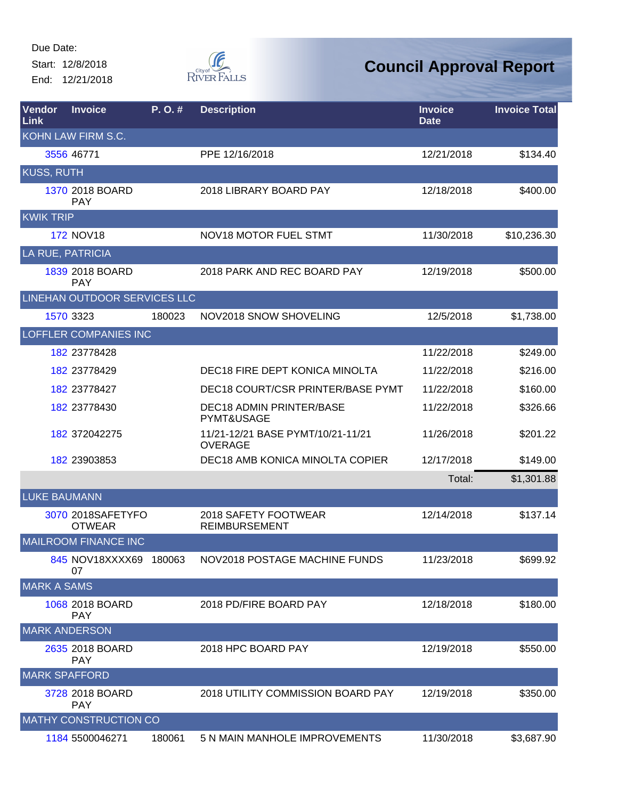Start: 12/8/2018 End: 12/21/2018



| Vendor<br><b>Link</b> | <b>Invoice</b>                     | P. O. # | <b>Description</b>                                  | <b>Invoice</b><br><b>Date</b> | <b>Invoice Total</b> |
|-----------------------|------------------------------------|---------|-----------------------------------------------------|-------------------------------|----------------------|
|                       | KOHN LAW FIRM S.C.                 |         |                                                     |                               |                      |
|                       | 3556 46771                         |         | PPE 12/16/2018                                      | 12/21/2018                    | \$134.40             |
| <b>KUSS, RUTH</b>     |                                    |         |                                                     |                               |                      |
|                       | 1370 2018 BOARD<br><b>PAY</b>      |         | 2018 LIBRARY BOARD PAY                              | 12/18/2018                    | \$400.00             |
| <b>KWIK TRIP</b>      |                                    |         |                                                     |                               |                      |
|                       | <b>172 NOV18</b>                   |         | <b>NOV18 MOTOR FUEL STMT</b>                        | 11/30/2018                    | \$10,236.30          |
|                       | LA RUE, PATRICIA                   |         |                                                     |                               |                      |
|                       | 1839 2018 BOARD<br><b>PAY</b>      |         | 2018 PARK AND REC BOARD PAY                         | 12/19/2018                    | \$500.00             |
|                       | LINEHAN OUTDOOR SERVICES LLC       |         |                                                     |                               |                      |
|                       | 1570 3323                          | 180023  | NOV2018 SNOW SHOVELING                              | 12/5/2018                     | \$1,738.00           |
|                       | <b>LOFFLER COMPANIES INC</b>       |         |                                                     |                               |                      |
|                       | 182 23778428                       |         |                                                     | 11/22/2018                    | \$249.00             |
|                       | 182 23778429                       |         | DEC18 FIRE DEPT KONICA MINOLTA                      | 11/22/2018                    | \$216.00             |
|                       | 182 23778427                       |         | DEC18 COURT/CSR PRINTER/BASE PYMT                   | 11/22/2018                    | \$160.00             |
|                       | 182 23778430                       |         | <b>DEC18 ADMIN PRINTER/BASE</b><br>PYMT&USAGE       | 11/22/2018                    | \$326.66             |
|                       | 182 372042275                      |         | 11/21-12/21 BASE PYMT/10/21-11/21<br><b>OVERAGE</b> | 11/26/2018                    | \$201.22             |
|                       | 182 23903853                       |         | DEC18 AMB KONICA MINOLTA COPIER                     | 12/17/2018                    | \$149.00             |
|                       |                                    |         |                                                     | Total:                        | \$1,301.88           |
| <b>LUKE BAUMANN</b>   |                                    |         |                                                     |                               |                      |
|                       | 3070 2018SAFETYFO<br><b>OTWEAR</b> |         | 2018 SAFETY FOOTWEAR<br><b>REIMBURSEMENT</b>        | 12/14/2018                    | \$137.14             |
|                       | <b>MAILROOM FINANCE INC</b>        |         |                                                     |                               |                      |
|                       | 845 NOV18XXXX69 180063<br>07       |         | NOV2018 POSTAGE MACHINE FUNDS                       | 11/23/2018                    | \$699.92             |
| <b>MARK A SAMS</b>    |                                    |         |                                                     |                               |                      |
|                       | 1068 2018 BOARD<br><b>PAY</b>      |         | 2018 PD/FIRE BOARD PAY                              | 12/18/2018                    | \$180.00             |
|                       | <b>MARK ANDERSON</b>               |         |                                                     |                               |                      |
|                       | 2635 2018 BOARD<br><b>PAY</b>      |         | 2018 HPC BOARD PAY                                  | 12/19/2018                    | \$550.00             |
|                       | <b>MARK SPAFFORD</b>               |         |                                                     |                               |                      |
|                       | 3728 2018 BOARD<br><b>PAY</b>      |         | 2018 UTILITY COMMISSION BOARD PAY                   | 12/19/2018                    | \$350.00             |
|                       | <b>MATHY CONSTRUCTION CO</b>       |         |                                                     |                               |                      |
|                       | 1184 5500046271                    | 180061  | 5 N MAIN MANHOLE IMPROVEMENTS                       | 11/30/2018                    | \$3,687.90           |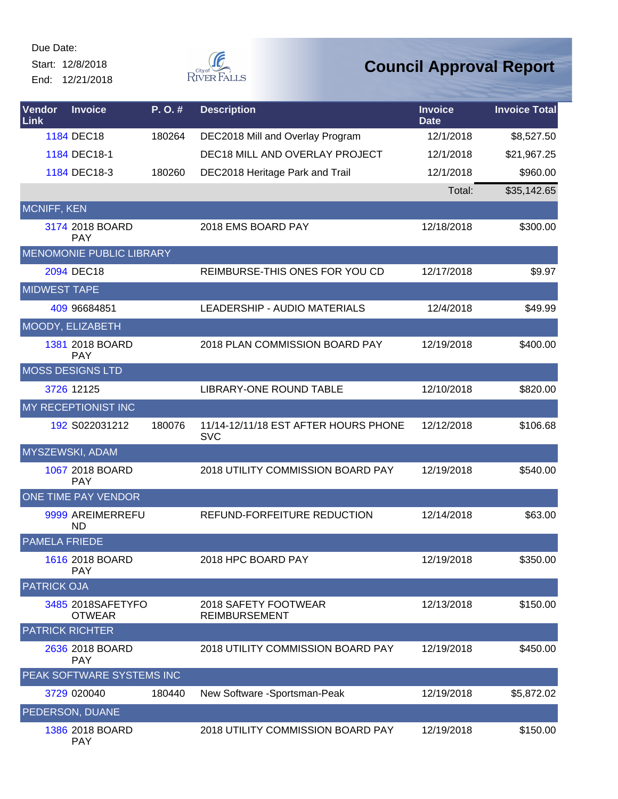Start: 12/8/2018 End: 12/21/2018



| Vendor<br>Link       | <b>Invoice</b>                     | P.O.#  | <b>Description</b>                                 | <b>Invoice</b><br><b>Date</b> | <b>Invoice Total</b> |
|----------------------|------------------------------------|--------|----------------------------------------------------|-------------------------------|----------------------|
|                      | 1184 DEC18                         | 180264 | DEC2018 Mill and Overlay Program                   | 12/1/2018                     | \$8,527.50           |
|                      | 1184 DEC18-1                       |        | DEC18 MILL AND OVERLAY PROJECT                     | 12/1/2018                     | \$21,967.25          |
|                      | 1184 DEC18-3                       | 180260 | DEC2018 Heritage Park and Trail                    | 12/1/2018                     | \$960.00             |
|                      |                                    |        |                                                    | Total:                        | \$35,142.65          |
| <b>MCNIFF, KEN</b>   |                                    |        |                                                    |                               |                      |
|                      | 3174 2018 BOARD<br><b>PAY</b>      |        | 2018 EMS BOARD PAY                                 | 12/18/2018                    | \$300.00             |
|                      | MENOMONIE PUBLIC LIBRARY           |        |                                                    |                               |                      |
|                      | 2094 DEC18                         |        | REIMBURSE-THIS ONES FOR YOU CD                     | 12/17/2018                    | \$9.97               |
| <b>MIDWEST TAPE</b>  |                                    |        |                                                    |                               |                      |
|                      | 409 96684851                       |        | LEADERSHIP - AUDIO MATERIALS                       | 12/4/2018                     | \$49.99              |
|                      | MOODY, ELIZABETH                   |        |                                                    |                               |                      |
|                      | 1381 2018 BOARD<br><b>PAY</b>      |        | 2018 PLAN COMMISSION BOARD PAY                     | 12/19/2018                    | \$400.00             |
|                      | <b>MOSS DESIGNS LTD</b>            |        |                                                    |                               |                      |
|                      | 3726 12125                         |        | LIBRARY-ONE ROUND TABLE                            | 12/10/2018                    | \$820.00             |
|                      | MY RECEPTIONIST INC                |        |                                                    |                               |                      |
|                      | 192 S022031212                     | 180076 | 11/14-12/11/18 EST AFTER HOURS PHONE<br><b>SVC</b> | 12/12/2018                    | \$106.68             |
|                      | MYSZEWSKI, ADAM                    |        |                                                    |                               |                      |
|                      | 1067 2018 BOARD<br><b>PAY</b>      |        | 2018 UTILITY COMMISSION BOARD PAY                  | 12/19/2018                    | \$540.00             |
|                      | ONE TIME PAY VENDOR                |        |                                                    |                               |                      |
|                      | 9999 AREIMERREFU<br><b>ND</b>      |        | REFUND-FORFEITURE REDUCTION                        | 12/14/2018                    | \$63.00              |
| <b>PAMELA FRIEDE</b> |                                    |        |                                                    |                               |                      |
|                      | 1616 2018 BOARD<br><b>PAY</b>      |        | 2018 HPC BOARD PAY                                 | 12/19/2018                    | \$350.00             |
| <b>PATRICK OJA</b>   |                                    |        |                                                    |                               |                      |
|                      | 3485 2018SAFETYFO<br><b>OTWEAR</b> |        | 2018 SAFETY FOOTWEAR<br><b>REIMBURSEMENT</b>       | 12/13/2018                    | \$150.00             |
|                      | <b>PATRICK RICHTER</b>             |        |                                                    |                               |                      |
|                      | 2636 2018 BOARD<br><b>PAY</b>      |        | 2018 UTILITY COMMISSION BOARD PAY                  | 12/19/2018                    | \$450.00             |
|                      | PEAK SOFTWARE SYSTEMS INC          |        |                                                    |                               |                      |
|                      | 3729 020040                        | 180440 | New Software -Sportsman-Peak                       | 12/19/2018                    | \$5,872.02           |
|                      | PEDERSON, DUANE                    |        |                                                    |                               |                      |
|                      | 1386 2018 BOARD<br><b>PAY</b>      |        | 2018 UTILITY COMMISSION BOARD PAY                  | 12/19/2018                    | \$150.00             |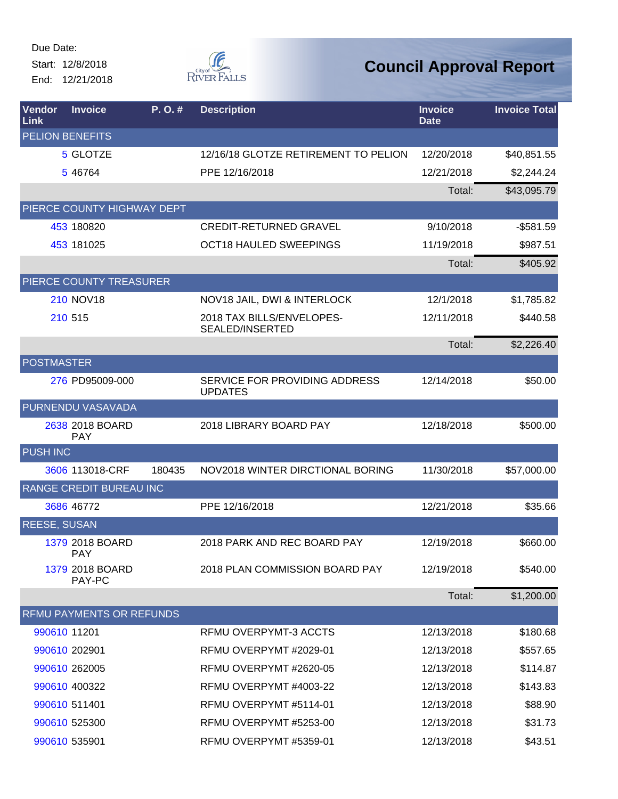Start: 12/8/2018 End: 12/21/2018



| Vendor<br>Link      | <b>Invoice</b>                  | P.O.#  | <b>Description</b>                                  | <b>Invoice</b><br><b>Date</b> | <b>Invoice Total</b> |
|---------------------|---------------------------------|--------|-----------------------------------------------------|-------------------------------|----------------------|
|                     | <b>PELION BENEFITS</b>          |        |                                                     |                               |                      |
|                     | 5 GLOTZE                        |        | 12/16/18 GLOTZE RETIREMENT TO PELION                | 12/20/2018                    | \$40,851.55          |
|                     | 5 46764                         |        | PPE 12/16/2018                                      | 12/21/2018                    | \$2,244.24           |
|                     |                                 |        |                                                     | Total:                        | \$43,095.79          |
|                     | PIERCE COUNTY HIGHWAY DEPT      |        |                                                     |                               |                      |
|                     | 453 180820                      |        | <b>CREDIT-RETURNED GRAVEL</b>                       | 9/10/2018                     | $-$581.59$           |
|                     | 453 181025                      |        | <b>OCT18 HAULED SWEEPINGS</b>                       | 11/19/2018                    | \$987.51             |
|                     |                                 |        |                                                     | Total:                        | \$405.92             |
|                     | PIERCE COUNTY TREASURER         |        |                                                     |                               |                      |
|                     | <b>210 NOV18</b>                |        | NOV18 JAIL, DWI & INTERLOCK                         | 12/1/2018                     | \$1,785.82           |
|                     | 210 515                         |        | 2018 TAX BILLS/ENVELOPES-<br><b>SEALED/INSERTED</b> | 12/11/2018                    | \$440.58             |
|                     |                                 |        |                                                     | Total:                        | \$2,226.40           |
| <b>POSTMASTER</b>   |                                 |        |                                                     |                               |                      |
|                     | 276 PD95009-000                 |        | SERVICE FOR PROVIDING ADDRESS<br><b>UPDATES</b>     | 12/14/2018                    | \$50.00              |
|                     | PURNENDU VASAVADA               |        |                                                     |                               |                      |
|                     | 2638 2018 BOARD<br><b>PAY</b>   |        | 2018 LIBRARY BOARD PAY                              | 12/18/2018                    | \$500.00             |
| <b>PUSH INC</b>     |                                 |        |                                                     |                               |                      |
|                     | 3606 113018-CRF                 | 180435 | NOV2018 WINTER DIRCTIONAL BORING                    | 11/30/2018                    | \$57,000.00          |
|                     | <b>RANGE CREDIT BUREAU INC</b>  |        |                                                     |                               |                      |
|                     | 3686 46772                      |        | PPE 12/16/2018                                      | 12/21/2018                    | \$35.66              |
| <b>REESE, SUSAN</b> |                                 |        |                                                     |                               |                      |
|                     | 1379 2018 BOARD<br><b>PAY</b>   |        | 2018 PARK AND REC BOARD PAY                         | 12/19/2018                    | \$660.00             |
|                     | 1379 2018 BOARD<br>PAY-PC       |        | 2018 PLAN COMMISSION BOARD PAY                      | 12/19/2018                    | \$540.00             |
|                     |                                 |        |                                                     | Total:                        | \$1,200.00           |
|                     | <b>RFMU PAYMENTS OR REFUNDS</b> |        |                                                     |                               |                      |
|                     | 990610 11201                    |        | RFMU OVERPYMT-3 ACCTS                               | 12/13/2018                    | \$180.68             |
|                     | 990610 202901                   |        | RFMU OVERPYMT #2029-01                              | 12/13/2018                    | \$557.65             |
|                     | 990610 262005                   |        | RFMU OVERPYMT #2620-05                              | 12/13/2018                    | \$114.87             |
|                     | 990610 400322                   |        | RFMU OVERPYMT #4003-22                              | 12/13/2018                    | \$143.83             |
|                     | 990610 511401                   |        | RFMU OVERPYMT #5114-01                              | 12/13/2018                    | \$88.90              |
|                     | 990610 525300                   |        | RFMU OVERPYMT #5253-00                              | 12/13/2018                    | \$31.73              |
|                     | 990610 535901                   |        | RFMU OVERPYMT #5359-01                              | 12/13/2018                    | \$43.51              |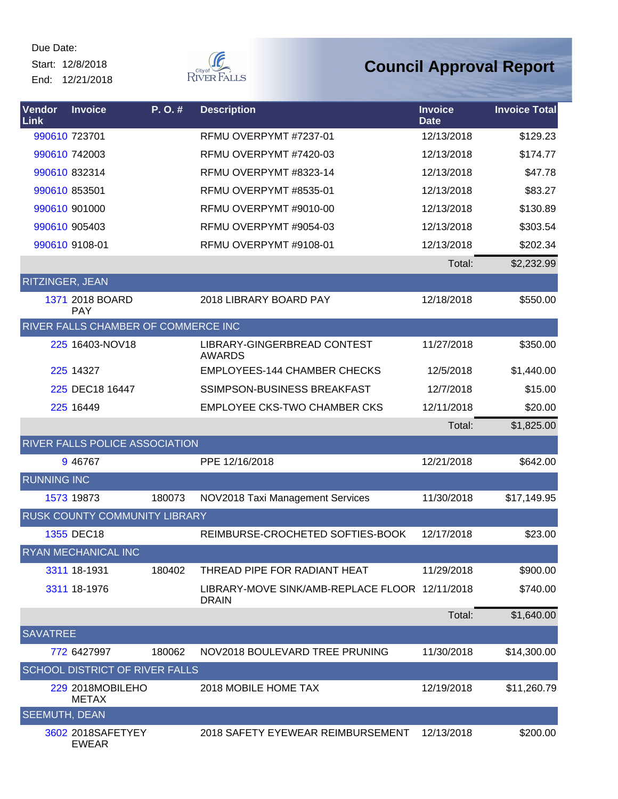Start: 12/8/2018 End: 12/21/2018



| Vendor<br>Link       | <b>Invoice</b>                      | P.O.#  | <b>Description</b>                                             | <b>Invoice</b><br><b>Date</b> | <b>Invoice Total</b> |
|----------------------|-------------------------------------|--------|----------------------------------------------------------------|-------------------------------|----------------------|
|                      | 990610 723701                       |        | RFMU OVERPYMT #7237-01                                         | 12/13/2018                    | \$129.23             |
|                      | 990610 742003                       |        | RFMU OVERPYMT #7420-03                                         | 12/13/2018                    | \$174.77             |
|                      | 990610 832314                       |        | RFMU OVERPYMT #8323-14                                         | 12/13/2018                    | \$47.78              |
|                      | 990610 853501                       |        | RFMU OVERPYMT #8535-01                                         | 12/13/2018                    | \$83.27              |
|                      | 990610 901000                       |        | RFMU OVERPYMT #9010-00                                         | 12/13/2018                    | \$130.89             |
|                      | 990610 905403                       |        | RFMU OVERPYMT #9054-03                                         | 12/13/2018                    | \$303.54             |
|                      | 990610 9108-01                      |        | RFMU OVERPYMT #9108-01                                         | 12/13/2018                    | \$202.34             |
|                      |                                     |        |                                                                | Total:                        | \$2,232.99           |
| RITZINGER, JEAN      |                                     |        |                                                                |                               |                      |
|                      | 1371 2018 BOARD<br><b>PAY</b>       |        | 2018 LIBRARY BOARD PAY                                         | 12/18/2018                    | \$550.00             |
|                      | RIVER FALLS CHAMBER OF COMMERCE INC |        |                                                                |                               |                      |
|                      | 225 16403-NOV18                     |        | LIBRARY-GINGERBREAD CONTEST<br><b>AWARDS</b>                   | 11/27/2018                    | \$350.00             |
|                      | 225 14327                           |        | <b>EMPLOYEES-144 CHAMBER CHECKS</b>                            | 12/5/2018                     | \$1,440.00           |
|                      | 225 DEC18 16447                     |        | <b>SSIMPSON-BUSINESS BREAKFAST</b>                             | 12/7/2018                     | \$15.00              |
|                      | 225 16449                           |        | <b>EMPLOYEE CKS-TWO CHAMBER CKS</b>                            | 12/11/2018                    | \$20.00              |
|                      |                                     |        |                                                                | Total:                        | \$1,825.00           |
|                      | RIVER FALLS POLICE ASSOCIATION      |        |                                                                |                               |                      |
|                      | 9 46767                             |        | PPE 12/16/2018                                                 | 12/21/2018                    | \$642.00             |
| <b>RUNNING INC</b>   |                                     |        |                                                                |                               |                      |
|                      | 1573 19873                          | 180073 | NOV2018 Taxi Management Services                               | 11/30/2018                    | \$17,149.95          |
|                      | RUSK COUNTY COMMUNITY LIBRARY       |        |                                                                |                               |                      |
|                      | 1355 DEC18                          |        | REIMBURSE-CROCHETED SOFTIES-BOOK                               | 12/17/2018                    | \$23.00              |
|                      | RYAN MECHANICAL INC                 |        |                                                                |                               |                      |
|                      | 3311 18-1931                        | 180402 | THREAD PIPE FOR RADIANT HEAT                                   | 11/29/2018                    | \$900.00             |
|                      | 3311 18-1976                        |        | LIBRARY-MOVE SINK/AMB-REPLACE FLOOR 12/11/2018<br><b>DRAIN</b> |                               | \$740.00             |
|                      |                                     |        |                                                                | Total:                        | \$1,640.00           |
| <b>SAVATREE</b>      |                                     |        |                                                                |                               |                      |
|                      | 772 6427997                         | 180062 | NOV2018 BOULEVARD TREE PRUNING                                 | 11/30/2018                    | \$14,300.00          |
|                      | SCHOOL DISTRICT OF RIVER FALLS      |        |                                                                |                               |                      |
|                      | 229 2018MOBILEHO<br><b>METAX</b>    |        | 2018 MOBILE HOME TAX                                           | 12/19/2018                    | \$11,260.79          |
| <b>SEEMUTH, DEAN</b> |                                     |        |                                                                |                               |                      |
|                      | 3602 2018SAFETYEY<br><b>EWEAR</b>   |        | 2018 SAFETY EYEWEAR REIMBURSEMENT                              | 12/13/2018                    | \$200.00             |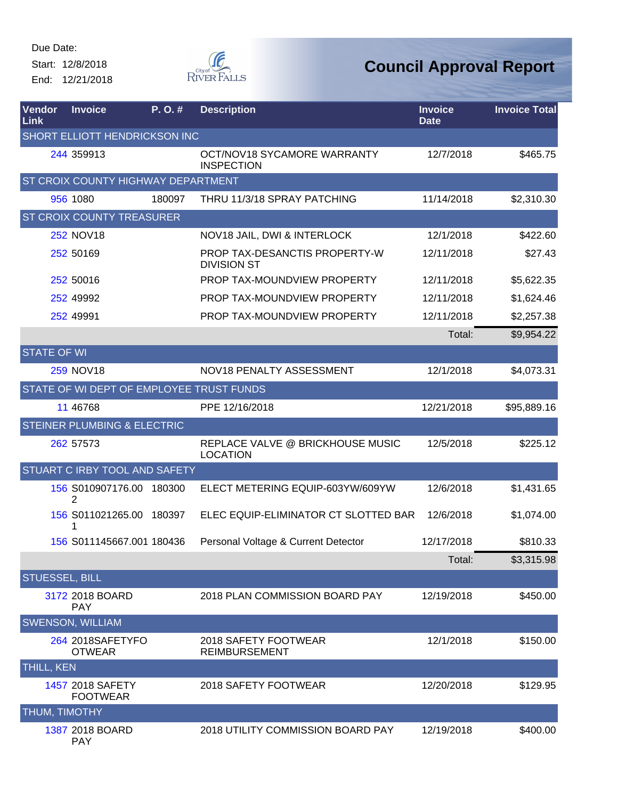Start: 12/8/2018 End: 12/21/2018



# **Council Approval Report**

| <b>Vendor</b><br>Link | <b>Invoice</b>                           | P.O.#  | <b>Description</b>                                  | <b>Invoice</b><br><b>Date</b> | <b>Invoice Total</b> |
|-----------------------|------------------------------------------|--------|-----------------------------------------------------|-------------------------------|----------------------|
|                       | SHORT ELLIOTT HENDRICKSON INC            |        |                                                     |                               |                      |
|                       | 244 359913                               |        | OCT/NOV18 SYCAMORE WARRANTY<br><b>INSPECTION</b>    | 12/7/2018                     | \$465.75             |
|                       | ST CROIX COUNTY HIGHWAY DEPARTMENT       |        |                                                     |                               |                      |
|                       | 956 1080                                 | 180097 | THRU 11/3/18 SPRAY PATCHING                         | 11/14/2018                    | \$2,310.30           |
|                       | <b>ST CROIX COUNTY TREASURER</b>         |        |                                                     |                               |                      |
|                       | <b>252 NOV18</b>                         |        | NOV18 JAIL, DWI & INTERLOCK                         | 12/1/2018                     | \$422.60             |
|                       | 252 50169                                |        | PROP TAX-DESANCTIS PROPERTY-W<br><b>DIVISION ST</b> | 12/11/2018                    | \$27.43              |
|                       | 252 50016                                |        | PROP TAX-MOUNDVIEW PROPERTY                         | 12/11/2018                    | \$5,622.35           |
|                       | 252 49992                                |        | PROP TAX-MOUNDVIEW PROPERTY                         | 12/11/2018                    | \$1,624.46           |
|                       | 252 49991                                |        | PROP TAX-MOUNDVIEW PROPERTY                         | 12/11/2018                    | \$2,257.38           |
|                       |                                          |        |                                                     | Total:                        | \$9,954.22           |
| <b>STATE OF WI</b>    |                                          |        |                                                     |                               |                      |
|                       | <b>259 NOV18</b>                         |        | NOV18 PENALTY ASSESSMENT                            | 12/1/2018                     | \$4,073.31           |
|                       | STATE OF WI DEPT OF EMPLOYEE TRUST FUNDS |        |                                                     |                               |                      |
|                       | 11 46768                                 |        | PPE 12/16/2018                                      | 12/21/2018                    | \$95,889.16          |
|                       | <b>STEINER PLUMBING &amp; ELECTRIC</b>   |        |                                                     |                               |                      |
|                       | 262 57573                                |        | REPLACE VALVE @ BRICKHOUSE MUSIC<br><b>LOCATION</b> | 12/5/2018                     | \$225.12             |
|                       | STUART C IRBY TOOL AND SAFETY            |        |                                                     |                               |                      |
|                       | 156 S010907176.00<br>2                   | 180300 | ELECT METERING EQUIP-603YW/609YW                    | 12/6/2018                     | \$1,431.65           |
|                       | 156 S011021265.00 180397<br>1            |        | ELEC EQUIP-ELIMINATOR CT SLOTTED BAR                | 12/6/2018                     | \$1,074.00           |
|                       | 156 S011145667.001 180436                |        | Personal Voltage & Current Detector                 | 12/17/2018                    | \$810.33             |
|                       |                                          |        |                                                     | Total:                        | \$3,315.98           |
| <b>STUESSEL, BILL</b> |                                          |        |                                                     |                               |                      |
|                       | 3172 2018 BOARD<br><b>PAY</b>            |        | 2018 PLAN COMMISSION BOARD PAY                      | 12/19/2018                    | \$450.00             |
|                       | <b>SWENSON, WILLIAM</b>                  |        |                                                     |                               |                      |
|                       | 264 2018SAFETYFO<br><b>OTWEAR</b>        |        | 2018 SAFETY FOOTWEAR<br><b>REIMBURSEMENT</b>        | 12/1/2018                     | \$150.00             |
| THILL, KEN            |                                          |        |                                                     |                               |                      |
|                       | 1457 2018 SAFETY<br><b>FOOTWEAR</b>      |        | 2018 SAFETY FOOTWEAR                                | 12/20/2018                    | \$129.95             |
| THUM, TIMOTHY         |                                          |        |                                                     |                               |                      |
|                       | 1387 2018 BOARD                          |        | 2018 UTILITY COMMISSION BOARD PAY                   | 12/19/2018                    | \$400.00             |

PAY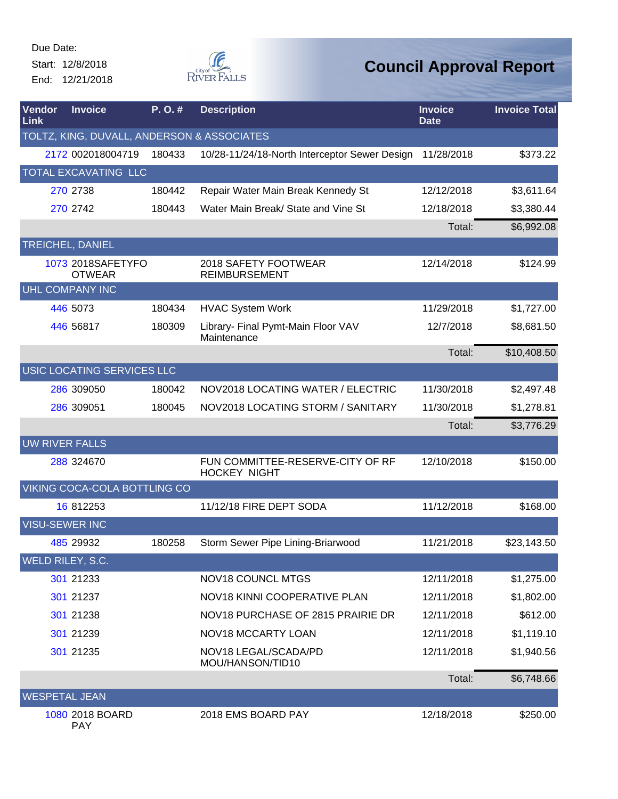Start: 12/8/2018 End: 12/21/2018



| <b>Vendor</b><br>Link | <b>Invoice</b>                             | P.O.#  | <b>Description</b>                                      | <b>Invoice</b><br><b>Date</b> | <b>Invoice Total</b> |
|-----------------------|--------------------------------------------|--------|---------------------------------------------------------|-------------------------------|----------------------|
|                       | TOLTZ, KING, DUVALL, ANDERSON & ASSOCIATES |        |                                                         |                               |                      |
|                       | 2172 002018004719                          | 180433 | 10/28-11/24/18-North Interceptor Sewer Design           | 11/28/2018                    | \$373.22             |
|                       | TOTAL EXCAVATING LLC                       |        |                                                         |                               |                      |
|                       | 270 2738                                   | 180442 | Repair Water Main Break Kennedy St                      | 12/12/2018                    | \$3,611.64           |
|                       | 270 2742                                   | 180443 | Water Main Break/ State and Vine St                     | 12/18/2018                    | \$3,380.44           |
|                       |                                            |        |                                                         | Total:                        | \$6,992.08           |
|                       | TREICHEL, DANIEL                           |        |                                                         |                               |                      |
|                       | 1073 2018SAFETYFO<br><b>OTWEAR</b>         |        | 2018 SAFETY FOOTWEAR<br><b>REIMBURSEMENT</b>            | 12/14/2018                    | \$124.99             |
|                       | UHL COMPANY INC                            |        |                                                         |                               |                      |
|                       | 446 5073                                   | 180434 | <b>HVAC System Work</b>                                 | 11/29/2018                    | \$1,727.00           |
|                       | 446 56817                                  | 180309 | Library- Final Pymt-Main Floor VAV<br>Maintenance       | 12/7/2018                     | \$8,681.50           |
|                       |                                            |        |                                                         | Total:                        | \$10,408.50          |
|                       | USIC LOCATING SERVICES LLC                 |        |                                                         |                               |                      |
|                       | 286 309050                                 | 180042 | NOV2018 LOCATING WATER / ELECTRIC                       | 11/30/2018                    | \$2,497.48           |
|                       | 286 309051                                 | 180045 | NOV2018 LOCATING STORM / SANITARY                       | 11/30/2018                    | \$1,278.81           |
|                       |                                            |        |                                                         | Total:                        | \$3,776.29           |
| <b>UW RIVER FALLS</b> |                                            |        |                                                         |                               |                      |
|                       | 288 324670                                 |        | FUN COMMITTEE-RESERVE-CITY OF RF<br><b>HOCKEY NIGHT</b> | 12/10/2018                    | \$150.00             |
|                       | VIKING COCA-COLA BOTTLING CO               |        |                                                         |                               |                      |
|                       | 16 812253                                  |        | 11/12/18 FIRE DEPT SODA                                 | 11/12/2018                    | \$168.00             |
| <b>VISU-SEWER INC</b> |                                            |        |                                                         |                               |                      |
|                       | 485 29932                                  | 180258 | Storm Sewer Pipe Lining-Briarwood                       | 11/21/2018                    | \$23,143.50          |
|                       | WELD RILEY, S.C.                           |        |                                                         |                               |                      |
|                       | 301 21233                                  |        | <b>NOV18 COUNCL MTGS</b>                                | 12/11/2018                    | \$1,275.00           |
|                       | 301 21237                                  |        | NOV18 KINNI COOPERATIVE PLAN                            | 12/11/2018                    | \$1,802.00           |
|                       | 301 21238                                  |        | NOV18 PURCHASE OF 2815 PRAIRIE DR                       | 12/11/2018                    | \$612.00             |
|                       | 301 21239                                  |        | NOV18 MCCARTY LOAN                                      | 12/11/2018                    | \$1,119.10           |
|                       | 301 21235                                  |        | NOV18 LEGAL/SCADA/PD<br>MOU/HANSON/TID10                | 12/11/2018                    | \$1,940.56           |
|                       |                                            |        |                                                         | Total:                        | \$6,748.66           |
| <b>WESPETAL JEAN</b>  |                                            |        |                                                         |                               |                      |
|                       | 1080 2018 BOARD<br><b>PAY</b>              |        | 2018 EMS BOARD PAY                                      | 12/18/2018                    | \$250.00             |